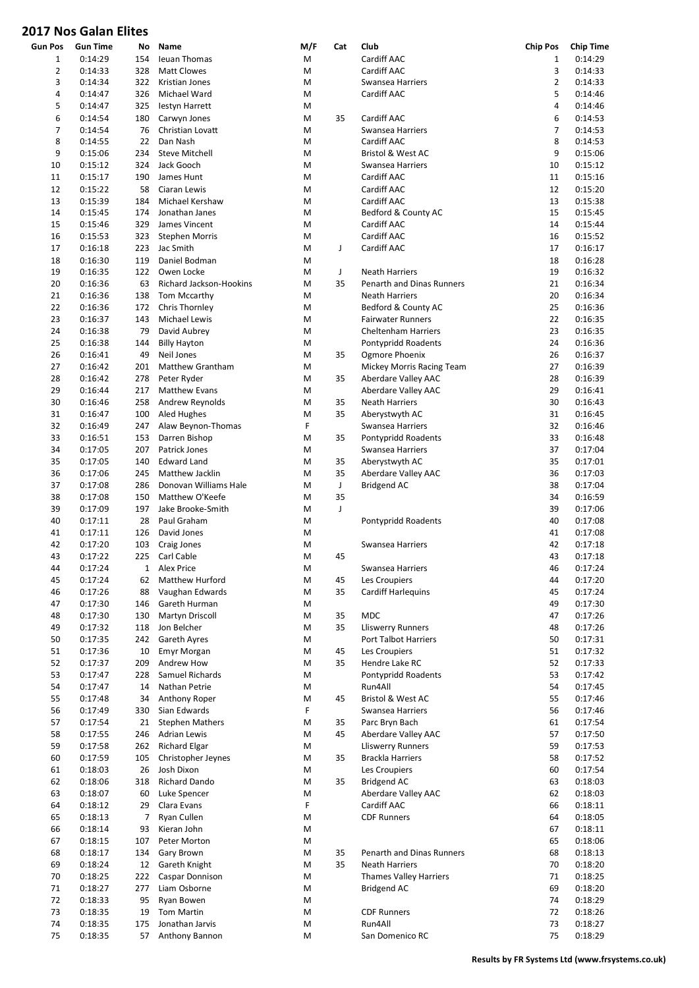## 2017 Nos Galan Elites

| Gun Pos        | <b>Gun Time</b> | No           | Name                    | M/F | Cat | Club                          | <b>Chip Pos</b> | <b>Chip Time</b> |
|----------------|-----------------|--------------|-------------------------|-----|-----|-------------------------------|-----------------|------------------|
| 1              | 0:14:29         | 154          | Ieuan Thomas            | M   |     | Cardiff AAC                   | 1               | 0:14:29          |
| $\overline{2}$ | 0:14:33         | 328          | <b>Matt Clowes</b>      | M   |     | Cardiff AAC                   | 3               | 0:14:33          |
| 3              | 0:14:34         | 322          | Kristian Jones          | M   |     | Swansea Harriers              | 2               | 0:14:33          |
| 4              | 0:14:47         | 326          | Michael Ward            | M   |     | Cardiff AAC                   | 5               | 0:14:46          |
| 5              |                 | 325          |                         | M   |     |                               | 4               | 0:14:46          |
|                | 0:14:47         |              | lestyn Harrett          |     |     |                               |                 |                  |
| 6              | 0:14:54         | 180          | Carwyn Jones            | M   | 35  | Cardiff AAC                   | 6               | 0:14:53          |
| 7              | 0:14:54         | 76           | Christian Lovatt        | M   |     | Swansea Harriers              | 7               | 0:14:53          |
| 8              | 0:14:55         | 22           | Dan Nash                | M   |     | Cardiff AAC                   | 8               | 0:14:53          |
| 9              | 0:15:06         | 234          | <b>Steve Mitchell</b>   | M   |     | Bristol & West AC             | 9               | 0:15:06          |
| 10             | 0:15:12         | 324          | Jack Gooch              | M   |     | Swansea Harriers              | 10              | 0:15:12          |
| 11             | 0:15:17         | 190          | James Hunt              | M   |     | Cardiff AAC                   | 11              | 0:15:16          |
|                |                 |              |                         |     |     |                               |                 |                  |
| 12             | 0:15:22         | 58           | Ciaran Lewis            | M   |     | Cardiff AAC                   | 12              | 0:15:20          |
| 13             | 0:15:39         | 184          | Michael Kershaw         | M   |     | Cardiff AAC                   | 13              | 0:15:38          |
| 14             | 0:15:45         | 174          | Jonathan Janes          | M   |     | Bedford & County AC           | 15              | 0:15:45          |
| 15             | 0:15:46         | 329          | James Vincent           | M   |     | Cardiff AAC                   | 14              | 0:15:44          |
| 16             | 0:15:53         | 323          | <b>Stephen Morris</b>   | M   |     | Cardiff AAC                   | 16              | 0:15:52          |
|                |                 |              | Jac Smith               |     |     |                               | 17              |                  |
| 17             | 0:16:18         | 223          |                         | M   | J   | Cardiff AAC                   |                 | 0:16:17          |
| 18             | 0:16:30         | 119          | Daniel Bodman           | M   |     |                               | 18              | 0:16:28          |
| 19             | 0:16:35         | 122          | Owen Locke              | M   | J   | <b>Neath Harriers</b>         | 19              | 0:16:32          |
| 20             | 0:16:36         | 63           | Richard Jackson-Hookins | M   | 35  | Penarth and Dinas Runners     | 21              | 0:16:34          |
| 21             | 0:16:36         | 138          | Tom Mccarthy            | M   |     | <b>Neath Harriers</b>         | 20              | 0:16:34          |
| 22             | 0:16:36         | 172          | Chris Thornley          | M   |     | Bedford & County AC           | 25              | 0:16:36          |
|                |                 |              | Michael Lewis           |     |     |                               | 22              |                  |
| 23             | 0:16:37         | 143          |                         | M   |     | <b>Fairwater Runners</b>      |                 | 0:16:35          |
| 24             | 0:16:38         | 79           | David Aubrey            | M   |     | <b>Cheltenham Harriers</b>    | 23              | 0:16:35          |
| 25             | 0:16:38         | 144          | <b>Billy Hayton</b>     | M   |     | Pontypridd Roadents           | 24              | 0:16:36          |
| 26             | 0:16:41         | 49           | Neil Jones              | M   | 35  | Ogmore Phoenix                | 26              | 0:16:37          |
| 27             | 0:16:42         | 201          | Matthew Grantham        | M   |     | Mickey Morris Racing Team     | 27              | 0:16:39          |
| 28             | 0:16:42         | 278          | Peter Ryder             | M   | 35  | Aberdare Valley AAC           | 28              | 0:16:39          |
|                |                 |              |                         |     |     |                               |                 |                  |
| 29             | 0:16:44         | 217          | <b>Matthew Evans</b>    | M   |     | Aberdare Valley AAC           | 29              | 0:16:41          |
| 30             | 0:16:46         | 258          | Andrew Reynolds         | M   | 35  | <b>Neath Harriers</b>         | 30              | 0:16:43          |
| 31             | 0:16:47         | 100          | Aled Hughes             | M   | 35  | Aberystwyth AC                | 31              | 0:16:45          |
| 32             | 0:16:49         | 247          | Alaw Beynon-Thomas      | F   |     | Swansea Harriers              | 32              | 0:16:46          |
| 33             | 0:16:51         | 153          | Darren Bishop           | M   | 35  | Pontypridd Roadents           | 33              | 0:16:48          |
| 34             | 0:17:05         | 207          | Patrick Jones           | M   |     | Swansea Harriers              | 37              | 0:17:04          |
|                |                 |              |                         |     |     |                               |                 |                  |
| 35             | 0:17:05         | 140          | <b>Edward Land</b>      | M   | 35  | Aberystwyth AC                | 35              | 0:17:01          |
| 36             | 0:17:06         | 245          | Matthew Jacklin         | M   | 35  | Aberdare Valley AAC           | 36              | 0:17:03          |
| 37             | 0:17:08         | 286          | Donovan Williams Hale   | M   | J   | <b>Bridgend AC</b>            | 38              | 0:17:04          |
| 38             | 0:17:08         | 150          | Matthew O'Keefe         | M   | 35  |                               | 34              | 0:16:59          |
| 39             | 0:17:09         | 197          | Jake Brooke-Smith       | M   | J   |                               | 39              | 0:17:06          |
| 40             | 0:17:11         | 28           | Paul Graham             | M   |     | Pontypridd Roadents           | 40              | 0:17:08          |
|                |                 |              |                         |     |     |                               |                 |                  |
| 41             | 0:17:11         | 126          | David Jones             | M   |     |                               | 41              | 0:17:08          |
| 42             | 0:17:20         | 103          | Craig Jones             | M   |     | Swansea Harriers              | 42              | 0:17:18          |
| 43             | 0:17:22         | 225          | Carl Cable              | M   | 45  |                               | 43              | 0:17:18          |
| 44             | 0:17:24         | $\mathbf{1}$ | Alex Price              | M   |     | Swansea Harriers              | 46              | 0:17:24          |
| 45             | 0:17:24         | 62           | Matthew Hurford         | M   | 45  | Les Croupiers                 | 44              | 0:17:20          |
| 46             | 0:17:26         | 88           | Vaughan Edwards         | M   | 35  | <b>Cardiff Harlequins</b>     | 45              | 0:17:24          |
|                |                 |              |                         |     |     |                               |                 | 0:17:30          |
| 47             | 0:17:30         | 146          | Gareth Hurman           | M   |     |                               | 49              |                  |
| 48             | 0:17:30         | 130          | Martyn Driscoll         | M   | 35  | <b>MDC</b>                    | 47              | 0:17:26          |
| 49             | 0:17:32         | 118          | Jon Belcher             | M   | 35  | Lliswerry Runners             | 48              | 0:17:26          |
| 50             | 0:17:35         | 242          | Gareth Ayres            | M   |     | Port Talbot Harriers          | 50              | 0:17:31          |
| 51             | 0:17:36         | 10           | <b>Emyr Morgan</b>      | M   | 45  | Les Croupiers                 | 51              | 0:17:32          |
| 52             | 0:17:37         | 209          | Andrew How              | M   | 35  | Hendre Lake RC                | 52              | 0:17:33          |
| 53             | 0:17:47         | 228          | Samuel Richards         |     |     |                               | 53              | 0:17:42          |
|                |                 |              |                         | M   |     | Pontypridd Roadents           |                 |                  |
| 54             | 0:17:47         | 14           | Nathan Petrie           | M   |     | Run4All                       | 54              | 0:17:45          |
| 55             | 0:17:48         | 34           | Anthony Roper           | M   | 45  | Bristol & West AC             | 55              | 0:17:46          |
| 56             | 0:17:49         | 330          | Sian Edwards            | F   |     | Swansea Harriers              | 56              | 0:17:46          |
| 57             | 0:17:54         | 21           | <b>Stephen Mathers</b>  | M   | 35  | Parc Bryn Bach                | 61              | 0:17:54          |
| 58             | 0:17:55         | 246          | <b>Adrian Lewis</b>     | M   | 45  | Aberdare Valley AAC           | 57              | 0:17:50          |
| 59             | 0:17:58         | 262          | <b>Richard Elgar</b>    | M   |     | <b>Lliswerry Runners</b>      | 59              | 0:17:53          |
|                |                 |              |                         |     |     |                               |                 |                  |
| 60             | 0:17:59         | 105          | Christopher Jeynes      | M   | 35  | <b>Brackla Harriers</b>       | 58              | 0:17:52          |
| 61             | 0:18:03         | 26           | Josh Dixon              | M   |     | Les Croupiers                 | 60              | 0:17:54          |
| 62             | 0:18:06         | 318          | Richard Dando           | M   | 35  | <b>Bridgend AC</b>            | 63              | 0:18:03          |
| 63             | 0:18:07         | 60           | Luke Spencer            | M   |     | Aberdare Valley AAC           | 62              | 0:18:03          |
| 64             | 0:18:12         | 29           | Clara Evans             | F   |     | Cardiff AAC                   | 66              | 0:18:11          |
| 65             | 0:18:13         | 7            | Ryan Cullen             | M   |     | <b>CDF Runners</b>            | 64              | 0:18:05          |
|                |                 |              |                         |     |     |                               |                 |                  |
| 66             | 0:18:14         | 93           | Kieran John             | M   |     |                               | 67              | 0:18:11          |
| 67             | 0:18:15         | 107          | Peter Morton            | M   |     |                               | 65              | 0:18:06          |
| 68             | 0:18:17         | 134          | Gary Brown              | M   | 35  | Penarth and Dinas Runners     | 68              | 0:18:13          |
| 69             | 0:18:24         | 12           | Gareth Knight           | M   | 35  | <b>Neath Harriers</b>         | 70              | 0:18:20          |
| 70             | 0:18:25         | 222          | Caspar Donnison         | M   |     | <b>Thames Valley Harriers</b> | 71              | 0:18:25          |
| 71             | 0:18:27         | 277          | Liam Osborne            | М   |     | <b>Bridgend AC</b>            | 69              | 0:18:20          |
|                |                 |              |                         |     |     |                               |                 |                  |
| 72             | 0:18:33         | 95           | Ryan Bowen              | M   |     |                               | 74              | 0:18:29          |
| 73             | 0:18:35         | 19           | Tom Martin              | M   |     | <b>CDF Runners</b>            | 72              | 0:18:26          |
| 74             | 0:18:35         | 175          | Jonathan Jarvis         | M   |     | Run4All                       | 73              | 0:18:27          |
| 75             | 0:18:35         | 57           | Anthony Bannon          | M   |     | San Domenico RC               | 75              | 0:18:29          |
|                |                 |              |                         |     |     |                               |                 |                  |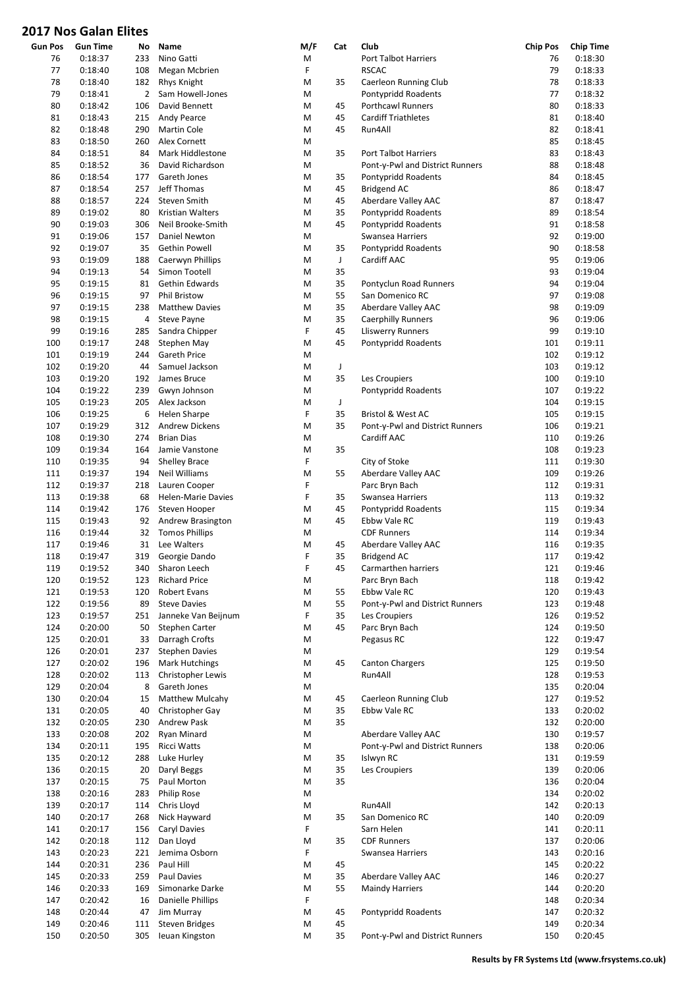## 2017 Nos Galan Elites

| <b>Gun Pos</b> | <b>Gun Time</b> | No  | Name                      | M/F | Cat | Club                            | <b>Chip Pos</b> | <b>Chip Time</b> |
|----------------|-----------------|-----|---------------------------|-----|-----|---------------------------------|-----------------|------------------|
| 76             | 0:18:37         | 233 | Nino Gatti                | M   |     | Port Talbot Harriers            | 76              | 0:18:30          |
| 77             | 0:18:40         | 108 | Megan Mcbrien             | F   |     | <b>RSCAC</b>                    | 79              | 0:18:33          |
|                |                 |     |                           |     |     |                                 |                 |                  |
| 78             | 0:18:40         | 182 | Rhys Knight               | M   | 35  | Caerleon Running Club           | 78              | 0:18:33          |
| 79             | 0:18:41         | 2   | Sam Howell-Jones          | M   |     | Pontypridd Roadents             | 77              | 0:18:32          |
| 80             | 0:18:42         | 106 | David Bennett             | M   | 45  | Porthcawl Runners               | 80              | 0:18:33          |
| 81             | 0:18:43         | 215 | Andy Pearce               | M   | 45  | <b>Cardiff Triathletes</b>      | 81              | 0:18:40          |
| 82             | 0:18:48         | 290 | <b>Martin Cole</b>        | M   | 45  | Run4All                         | 82              | 0:18:41          |
|                |                 |     |                           |     |     |                                 |                 |                  |
| 83             | 0:18:50         | 260 | Alex Cornett              | M   |     |                                 | 85              | 0:18:45          |
| 84             | 0:18:51         | 84  | Mark Hiddlestone          | M   | 35  | Port Talbot Harriers            | 83              | 0:18:43          |
| 85             | 0:18:52         | 36  | David Richardson          | M   |     | Pont-y-Pwl and District Runners | 88              | 0:18:48          |
| 86             | 0:18:54         | 177 | Gareth Jones              | M   | 35  | Pontypridd Roadents             | 84              | 0:18:45          |
|                |                 |     | Jeff Thomas               | M   | 45  | <b>Bridgend AC</b>              | 86              | 0:18:47          |
| 87             | 0:18:54         | 257 |                           |     |     |                                 |                 |                  |
| 88             | 0:18:57         | 224 | Steven Smith              | M   | 45  | Aberdare Valley AAC             | 87              | 0:18:47          |
| 89             | 0:19:02         | 80  | Kristian Walters          | M   | 35  | Pontypridd Roadents             | 89              | 0:18:54          |
| 90             | 0:19:03         | 306 | Neil Brooke-Smith         | M   | 45  | Pontypridd Roadents             | 91              | 0:18:58          |
| 91             | 0:19:06         | 157 | Daniel Newton             | M   |     | Swansea Harriers                | 92              | 0:19:00          |
| 92             | 0:19:07         | 35  | Gethin Powell             | M   | 35  | Pontypridd Roadents             | 90              | 0:18:58          |
|                |                 |     |                           |     |     |                                 |                 |                  |
| 93             | 0:19:09         | 188 | Caerwyn Phillips          | M   | J   | Cardiff AAC                     | 95              | 0:19:06          |
| 94             | 0:19:13         | 54  | Simon Tootell             | M   | 35  |                                 | 93              | 0:19:04          |
| 95             | 0:19:15         | 81  | Gethin Edwards            | M   | 35  | Pontyclun Road Runners          | 94              | 0:19:04          |
| 96             | 0:19:15         | 97  | <b>Phil Bristow</b>       | M   | 55  | San Domenico RC                 | 97              | 0:19:08          |
|                |                 |     |                           |     |     |                                 |                 |                  |
| 97             | 0:19:15         | 238 | <b>Matthew Davies</b>     | M   | 35  | Aberdare Valley AAC             | 98              | 0:19:09          |
| 98             | 0:19:15         | 4   | <b>Steve Payne</b>        | M   | 35  | <b>Caerphilly Runners</b>       | 96              | 0:19:06          |
| 99             | 0:19:16         | 285 | Sandra Chipper            | F   | 45  | <b>Lliswerry Runners</b>        | 99              | 0:19:10          |
| 100            | 0:19:17         | 248 | Stephen May               | M   | 45  | Pontypridd Roadents             | 101             | 0:19:11          |
|                |                 |     |                           |     |     |                                 |                 |                  |
| 101            | 0:19:19         | 244 | Gareth Price              | M   |     |                                 | 102             | 0:19:12          |
| 102            | 0:19:20         | 44  | Samuel Jackson            | M   | J   |                                 | 103             | 0:19:12          |
| 103            | 0:19:20         | 192 | James Bruce               | M   | 35  | Les Croupiers                   | 100             | 0:19:10          |
| 104            | 0:19:22         | 239 | Gwyn Johnson              | M   |     | Pontypridd Roadents             | 107             | 0:19:22          |
| 105            | 0:19:23         | 205 | Alex Jackson              | M   | J   |                                 | 104             | 0:19:15          |
|                |                 |     |                           |     |     |                                 |                 |                  |
| 106            | 0:19:25         | 6   | Helen Sharpe              | F   | 35  | Bristol & West AC               | 105             | 0:19:15          |
| 107            | 0:19:29         | 312 | <b>Andrew Dickens</b>     | M   | 35  | Pont-y-Pwl and District Runners | 106             | 0:19:21          |
| 108            | 0:19:30         | 274 | <b>Brian Dias</b>         | M   |     | Cardiff AAC                     | 110             | 0:19:26          |
| 109            | 0:19:34         | 164 | Jamie Vanstone            | M   | 35  |                                 | 108             | 0:19:23          |
|                |                 |     |                           | F   |     |                                 |                 | 0:19:30          |
| 110            | 0:19:35         | 94  | <b>Shelley Brace</b>      |     |     | City of Stoke                   | 111             |                  |
| 111            | 0:19:37         | 194 | Neil Williams             | M   | 55  | Aberdare Valley AAC             | 109             | 0:19:26          |
| 112            | 0:19:37         | 218 | Lauren Cooper             | F   |     | Parc Bryn Bach                  | 112             | 0:19:31          |
| 113            | 0:19:38         | 68  | <b>Helen-Marie Davies</b> | F   | 35  | Swansea Harriers                | 113             | 0:19:32          |
| 114            | 0:19:42         | 176 | Steven Hooper             | M   | 45  | Pontypridd Roadents             | 115             | 0:19:34          |
|                |                 |     |                           |     |     |                                 |                 |                  |
| 115            | 0:19:43         | 92  | Andrew Brasington         | M   | 45  | Ebbw Vale RC                    | 119             | 0:19:43          |
| 116            | 0:19:44         | 32  | <b>Tomos Phillips</b>     | M   |     | <b>CDF Runners</b>              | 114             | 0:19:34          |
| 117            | 0:19:46         | 31  | Lee Walters               | M   | 45  | Aberdare Valley AAC             | 116             | 0:19:35          |
| 118            | 0:19:47         | 319 | Georgie Dando             | F   | 35  | <b>Bridgend AC</b>              | 117             | 0:19:42          |
| 119            | 0:19:52         |     | 340 Sharon Leech          | F   | 45  | Carmarthen harriers             | 121             | 0:19:46          |
|                |                 |     |                           |     |     |                                 |                 |                  |
| 120            | 0:19:52         | 123 | <b>Richard Price</b>      | M   |     | Parc Bryn Bach                  | 118             | 0:19:42          |
| 121            | 0:19:53         | 120 | Robert Evans              | М   | 55  | Ebbw Vale RC                    | 120             | 0:19:43          |
| 122            | 0:19:56         | 89  | <b>Steve Davies</b>       | M   | 55  | Pont-y-Pwl and District Runners | 123             | 0:19:48          |
| 123            | 0:19:57         | 251 | Janneke Van Beijnum       | F   | 35  | Les Croupiers                   | 126             | 0:19:52          |
|                |                 |     |                           |     |     |                                 |                 |                  |
| 124            | 0:20:00         | 50  | Stephen Carter            | M   | 45  | Parc Bryn Bach                  | 124             | 0:19:50          |
| 125            | 0:20:01         | 33  | Darragh Crofts            | М   |     | Pegasus RC                      | 122             | 0:19:47          |
| 126            | 0:20:01         | 237 | <b>Stephen Davies</b>     | М   |     |                                 | 129             | 0:19:54          |
| 127            | 0:20:02         | 196 | <b>Mark Hutchings</b>     | М   | 45  | <b>Canton Chargers</b>          | 125             | 0:19:50          |
| 128            | 0:20:02         | 113 | Christopher Lewis         | М   |     | Run4All                         | 128             | 0:19:53          |
|                |                 |     |                           |     |     |                                 |                 |                  |
| 129            | 0:20:04         | 8   | Gareth Jones              | М   |     |                                 | 135             | 0:20:04          |
| 130            | 0:20:04         | 15  | <b>Matthew Mulcahy</b>    | M   | 45  | Caerleon Running Club           | 127             | 0:19:52          |
| 131            | 0:20:05         | 40  | Christopher Gay           | М   | 35  | Ebbw Vale RC                    | 133             | 0:20:02          |
| 132            | 0:20:05         | 230 | Andrew Pask               | M   | 35  |                                 | 132             | 0:20:00          |
|                |                 |     |                           |     |     |                                 |                 |                  |
| 133            | 0:20:08         | 202 | Ryan Minard               | M   |     | Aberdare Valley AAC             | 130             | 0:19:57          |
| 134            | 0:20:11         | 195 | Ricci Watts               | M   |     | Pont-y-Pwl and District Runners | 138             | 0:20:06          |
| 135            | 0:20:12         | 288 | Luke Hurley               | M   | 35  | Islwyn RC                       | 131             | 0:19:59          |
| 136            | 0:20:15         | 20  | Daryl Beggs               | M   | 35  | Les Croupiers                   | 139             | 0:20:06          |
| 137            | 0:20:15         | 75  | Paul Morton               | М   | 35  |                                 | 136             | 0:20:04          |
|                |                 |     |                           |     |     |                                 |                 |                  |
| 138            | 0:20:16         | 283 | Philip Rose               | M   |     |                                 | 134             | 0:20:02          |
| 139            | 0:20:17         | 114 | Chris Lloyd               | M   |     | Run4All                         | 142             | 0:20:13          |
| 140            | 0:20:17         | 268 | Nick Hayward              | M   | 35  | San Domenico RC                 | 140             | 0:20:09          |
| 141            | 0:20:17         | 156 | Caryl Davies              | F   |     | Sarn Helen                      | 141             | 0:20:11          |
|                |                 |     |                           |     |     |                                 |                 |                  |
| 142            | 0:20:18         | 112 | Dan Lloyd                 | M   | 35  | <b>CDF Runners</b>              | 137             | 0:20:06          |
| 143            | 0:20:23         | 221 | Jemima Osborn             | F   |     | Swansea Harriers                | 143             | 0:20:16          |
| 144            | 0:20:31         | 236 | Paul Hill                 | М   | 45  |                                 | 145             | 0:20:22          |
| 145            | 0:20:33         | 259 | Paul Davies               | М   | 35  | Aberdare Valley AAC             | 146             | 0:20:27          |
| 146            | 0:20:33         | 169 | Simonarke Darke           | M   | 55  |                                 | 144             | 0:20:20          |
|                |                 |     |                           |     |     | <b>Maindy Harriers</b>          |                 |                  |
| 147            | 0:20:42         | 16  | Danielle Phillips         | F   |     |                                 | 148             | 0:20:34          |
| 148            | 0:20:44         | 47  | Jim Murray                | M   | 45  | Pontypridd Roadents             | 147             | 0:20:32          |
| 149            | 0:20:46         | 111 | <b>Steven Bridges</b>     | М   | 45  |                                 | 149             | 0:20:34          |
| 150            | 0:20:50         | 305 | Ieuan Kingston            | М   | 35  | Pont-y-Pwl and District Runners | 150             | 0:20:45          |
|                |                 |     |                           |     |     |                                 |                 |                  |